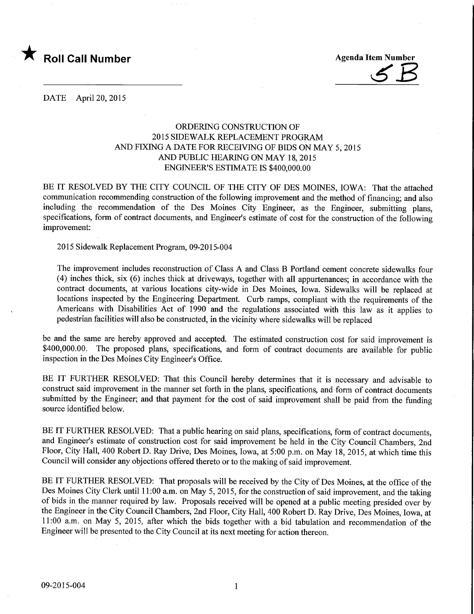

DATE April 20, 2015

## ORDERING CONSTRUCTION OF 2015 SIDEWALK REPLACEMENT PROGRAM AND FIXING A DATE FOR RECEIVING OF BIDS ON MAY 5, 2015 AND PUBLIC HEARING ON MAY 18, 2015 ENGINEER'S ESTIMATE IS \$400,000.00

BE IT RESOLVED BY THE CITY COUNCIL OF THE CITY OF DES MOINES, IOWA: That the attached communication recommending construction of the following improvement and the method of financing; and also including the recommendation of the Des Moines City Engineer, as the Engineer, submitting plans, specifications, form of contract documents, and Engineer's estimate of cost for the construction of the following improvement:

2015 Sidewalk Replacement Program, 09-2015-004

The improvement includes reconstruction of Class A and Class B Portland cement concrete sidewalks four (4) inches thick, six (6) inches thick at driveways, together with all appurtenances; in accordance with the contract documents, at various locations city-wide in Des Moines, Iowa. Sidewalks will be replaced at locations inspected by the Engineering Department. Curb ramps, compliant with the requirements of the Americans with Disabilities Act of 1990 and the regulations associated with this law as it applies to pedestrian facilities will also be constructed, in the vicinity where sidewalks will be replaced

be and the same are hereby approved and accepted. The estimated construction cost for said improvement is \$400,000.00. The proposed plans, specifications, and form of contract documents are available for public inspection in the Des Moines City Engineer's Office.

BE IT FURTHER RESOLVED: That this Council hereby determines that it is necessary and advisable to construct said improvement in the manner set forth in the plans, specifications, and form of contract documents submitted by the Engineer; and that payment for the cost of said improvement shall be paid from the funding source identified below.

BE IT FURTHER RESOLVED: That a public hearing on said plans, specifications, form of contract documents, and Engineer's estimate of construction cost for said improvement be held in the City Council Chambers, 2nd Floor, City Hall, 400 Robert D. Ray Drive, Des Moines, Iowa, at 5:00 p.m. on May 18, 2015, at which time this Council will consider any objections offered thereto or to the making of said improvement.

BE IT FURTHER RESOLVED: That proposals will be received by the City of Des Moines, at the office of the Des Moines City Clerk until 11:00 a.m. on May 5,2015, for the construction of said improvement, and the taking of bids in the manner required by law. Proposals received will be opened at a public meeting presided over by the Engineer in the City Council Chambers, 2nd Floor, City Hall, 400 Robert D. Ray Drive, Des Moines, Iowa, at 11:00 a.m. on May 5, 2015, after which the bids together with a bid tabulation and recommendation of the Engineer will be presented to the City Council at its next meeting for action thereon.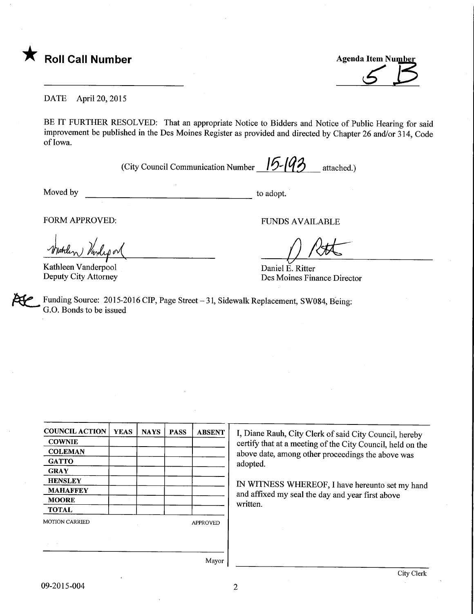

**Agenda Item Number** 

DATE April 20, 2015

BE IT FURTHER RESOLVED: That an appropriate Notice to Bidders and Notice of Public Hearing for said improvement be published in the Des Moines Register as provided and directed by Chapter 26 and/or 314, Code of Iowa.

(City Council Communication Number  $\sqrt{5}$   $\sqrt{43}$  attached.)

Moved by  $\overline{\phantom{a}}$  to adopt.

FORM APPROVED: FUNDS AVAILABLE

Vind

Kathleen Vanderpool Deputy City Attorney

/)Mr  $\widetilde{\Delta}$ 

Daniel E. Ritter Des Moines Finance Director

Funding Source: 2015-2016 CIP, Page Street - 31, Sidewalk Replacement, SW084, Being: G.O. Bonds to be issued

| <b>YEAS</b> | <b>NAYS</b> | <b>PASS</b> | <b>ABSENT</b>   | I, Diar |
|-------------|-------------|-------------|-----------------|---------|
|             |             |             |                 | certify |
|             |             |             |                 | above   |
|             |             |             |                 | adopte  |
|             |             |             |                 |         |
|             |             |             |                 | IN WI   |
|             |             |             |                 | and af  |
|             |             |             |                 | writter |
|             |             |             |                 |         |
|             |             |             | <b>APPROVED</b> |         |
|             |             |             |                 |         |
|             |             |             |                 |         |
|             |             |             |                 |         |

ne Rauh, City Clerk of said City Council, hereby that at a meeting of the City Council, held on the date, among other proceedings the above was ed.

ITNESS WHEREOF, I have hereunto set my hand fixed my seal the day and year first above n.

Mayor